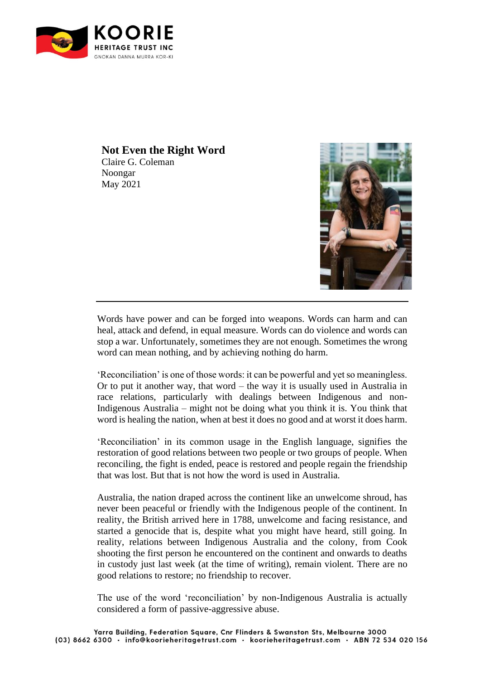

## **Not Even the Right Word**

Claire G. Coleman Noongar May 2021



Words have power and can be forged into weapons. Words can harm and can heal, attack and defend, in equal measure. Words can do violence and words can stop a war. Unfortunately, sometimes they are not enough. Sometimes the wrong word can mean nothing, and by achieving nothing do harm.

'Reconciliation' is one of those words: it can be powerful and yet so meaningless. Or to put it another way, that word – the way it is usually used in Australia in race relations, particularly with dealings between Indigenous and non-Indigenous Australia – might not be doing what you think it is. You think that word is healing the nation, when at best it does no good and at worst it does harm.

'Reconciliation' in its common usage in the English language, signifies the restoration of good relations between two people or two groups of people. When reconciling, the fight is ended, peace is restored and people regain the friendship that was lost. But that is not how the word is used in Australia.

Australia, the nation draped across the continent like an unwelcome shroud, has never been peaceful or friendly with the Indigenous people of the continent. In reality, the British arrived here in 1788, unwelcome and facing resistance, and started a genocide that is, despite what you might have heard, still going. In reality, relations between Indigenous Australia and the colony, from Cook shooting the first person he encountered on the continent and onwards to deaths in custody just last week (at the time of writing), remain violent. There are no good relations to restore; no friendship to recover.

The use of the word 'reconciliation' by non-Indigenous Australia is actually considered a form of passive-aggressive abuse.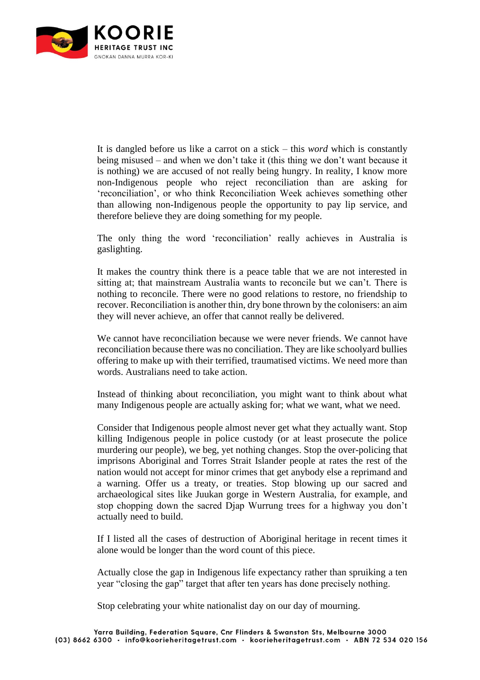

It is dangled before us like a carrot on a stick – this *word* which is constantly being misused – and when we don't take it (this thing we don't want because it is nothing) we are accused of not really being hungry. In reality, I know more non-Indigenous people who reject reconciliation than are asking for 'reconciliation', or who think Reconciliation Week achieves something other than allowing non-Indigenous people the opportunity to pay lip service, and therefore believe they are doing something for my people.

The only thing the word 'reconciliation' really achieves in Australia is gaslighting.

It makes the country think there is a peace table that we are not interested in sitting at; that mainstream Australia wants to reconcile but we can't. There is nothing to reconcile. There were no good relations to restore, no friendship to recover. Reconciliation is another thin, dry bone thrown by the colonisers: an aim they will never achieve, an offer that cannot really be delivered.

We cannot have reconciliation because we were never friends. We cannot have reconciliation because there was no conciliation. They are like schoolyard bullies offering to make up with their terrified, traumatised victims. We need more than words. Australians need to take action.

Instead of thinking about reconciliation, you might want to think about what many Indigenous people are actually asking for; what we want, what we need.

Consider that Indigenous people almost never get what they actually want. Stop killing Indigenous people in police custody (or at least prosecute the police murdering our people), we beg, yet nothing changes. Stop the over-policing that imprisons Aboriginal and Torres Strait Islander people at rates the rest of the nation would not accept for minor crimes that get anybody else a reprimand and a warning. Offer us a treaty, or treaties. Stop blowing up our sacred and archaeological sites like Juukan gorge in Western Australia, for example, and stop chopping down the sacred Djap Wurrung trees for a highway you don't actually need to build.

If I listed all the cases of destruction of Aboriginal heritage in recent times it alone would be longer than the word count of this piece.

Actually close the gap in Indigenous life expectancy rather than spruiking a ten year "closing the gap" target that after ten years has done precisely nothing.

Stop celebrating your white nationalist day on our day of mourning.